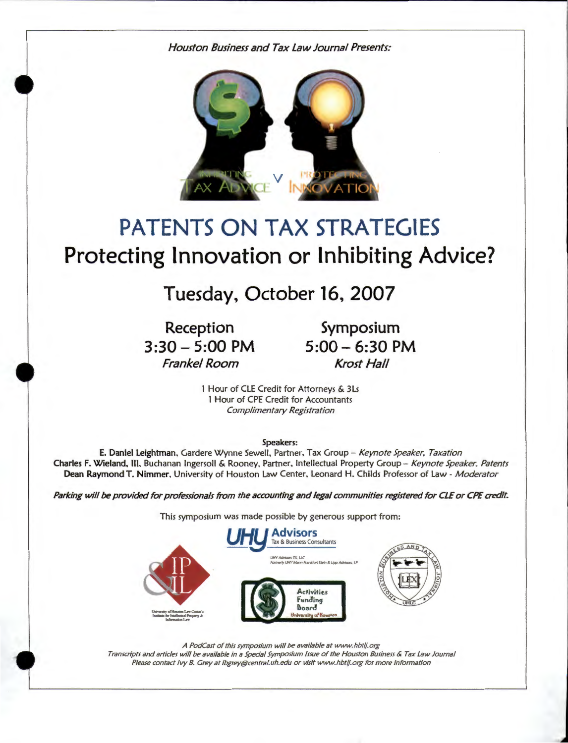*Houston Business and Tax Law Journal Presents:* 



# **PATENTS** ON TAX **STRATEGIES**  Protecting Innovation or Inhibiting Advice?

## **Tuesday, October 16, 2007**

**Reception 3:30 - 5:00 PM**  Frankel *Room* 

**Symposium 5:00 - 6:30 PM**  *Krost Hall* 

1 Hour of CLE Credit for Attorneys & 3Ls 1 Hour of CPE Credit for Accountants *Complimentary Registration* 

Speakers:

E. Daniel Leightman. Gardere Wynne Sewell. Partner. Tax Group- *Keynote Speaker, Taxation*  Charles F. Wieland, Ill. Buchanan Ingersoll & Rooney. Partner. Intellectual Property Group - *Keynote Speaker, Patents*  Dean Raymond T. Nimmer. University of Houston Law Center. Leonard H. Childs Professor of Law - *Moderator* 

Parking will *be* provided for professionals from the accounting and legal communities registered for CLE or CPE credit.

This symposium was made possible by generous support from:



*A PodCast of this symposium will be available at www.hbtlj.org Transcripts and articles will be available in a Special Symposium Issue of the Houston Business* & *Tax Law Journal Please contact Ivy 8. Grey at ibgrey@centraluh.edu or visit www.hbtlj.org for more information*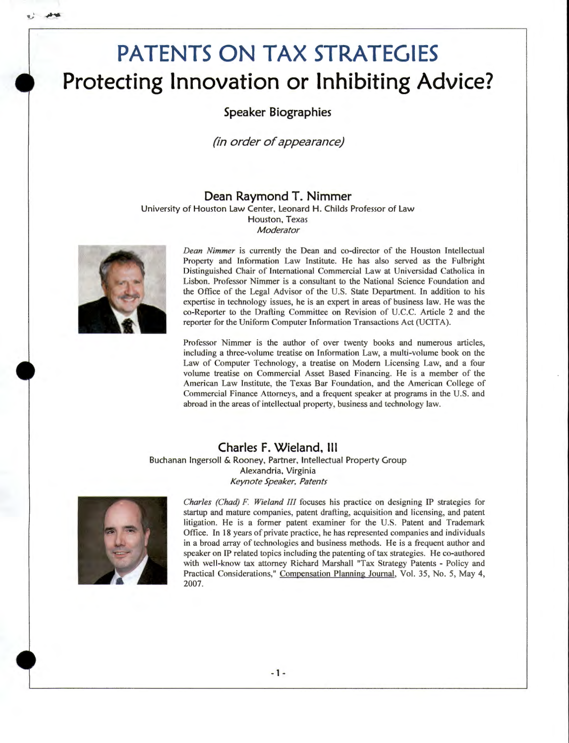## **PATENTS ON TAX STRATEGIES Protecting Innovation or Inhibiting Advice?**

**Speaker Biographies** 

**(in order of appearance)** 

**Dean Raymond T. Nimmer**  University of Houston Law Center, Leonard **H.** Childs Professor of Law Houston, Texas *Moderator* 



*Dean Nimmer* is currently the Dean and co-director of the Houston Intellectual Property and Information Law Institute. He has also served as the Fulbright Distinguished Chair of International Commercial Law at Universidad Catholica in Lisbon. Professor Nimmer is a consultant to the National Science Foundation and the Office of the Legal Advisor of the U.S. State Department. In addition to his expertise in technology issues, he is an expert in areas of business law. He was the co-Reporter to the Drafting Committee on Revision of U .C.C. Article 2 and the reporter for the Uniform Computer Information Transactions Act (UCITA).

Professor Nimmer is the author of over twenty books and numerous articles, including a three-volume treatise on Information Law, a multi-volume book on the Law of Computer Technology, a treatise on Modern Licensing Law, and a four volume treatise on Commercial Asset Based Financing. He is a member of the American Law Institute, the Texas Bar Foundation, and the American College of Commercial Finance Attorneys, and a frequent speaker at programs in the U.S. and abroad in the areas of intellectual property, business and technology law.

### **Charles F. Wieland, 111**

Buchanan Ingersoll & Rooney, Partner, Intellectual Property Group Alexandria, Virginia *Keynote Speaker. Patents* 



*Charles (Chad) F. Wieland III* focuses his practice on designing IP strategies for startup and mature companies, patent drafting, acquisition and licensing, and patent litigation. He is a former patent examiner for the U.S. Patent and Trademark Office. In 18 years of private practice, he has represented companies and individuals in a broad array of technologies and business methods. He is a frequent author and speaker on IP related topics including the patenting of tax strategies. He co-authored with well-know tax attorney Richard Marshall "Tax Strategy Patents - Policy and Practical Considerations," Compensation Planning Journal, Vol. 35, No. 5, May 4, 2007.